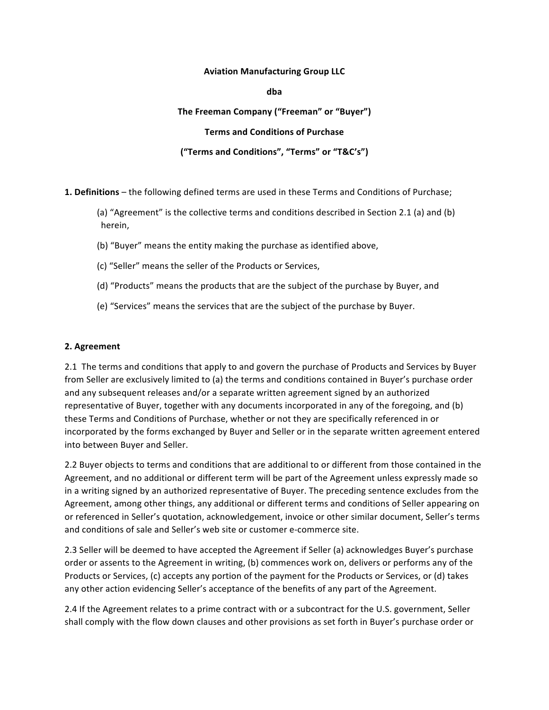#### **Aviation Manufacturing Group LLC**

**dba**

#### The Freeman Company ("Freeman" or "Buyer")

#### **Terms and Conditions of Purchase**

### **("Terms and Conditions", "Terms" or "T&C's")**

**1. Definitions** – the following defined terms are used in these Terms and Conditions of Purchase;

(a) "Agreement" is the collective terms and conditions described in Section 2.1 (a) and (b) herein, 

- (b) "Buyer" means the entity making the purchase as identified above,
- (c) "Seller" means the seller of the Products or Services,
- (d) "Products" means the products that are the subject of the purchase by Buyer, and
- (e) "Services" means the services that are the subject of the purchase by Buyer.

#### **2. Agreement**

2.1 The terms and conditions that apply to and govern the purchase of Products and Services by Buyer from Seller are exclusively limited to (a) the terms and conditions contained in Buyer's purchase order and any subsequent releases and/or a separate written agreement signed by an authorized representative of Buyer, together with any documents incorporated in any of the foregoing, and (b) these Terms and Conditions of Purchase, whether or not they are specifically referenced in or incorporated by the forms exchanged by Buyer and Seller or in the separate written agreement entered into between Buyer and Seller.

2.2 Buyer objects to terms and conditions that are additional to or different from those contained in the Agreement, and no additional or different term will be part of the Agreement unless expressly made so in a writing signed by an authorized representative of Buyer. The preceding sentence excludes from the Agreement, among other things, any additional or different terms and conditions of Seller appearing on or referenced in Seller's quotation, acknowledgement, invoice or other similar document, Seller's terms and conditions of sale and Seller's web site or customer e-commerce site.

2.3 Seller will be deemed to have accepted the Agreement if Seller (a) acknowledges Buyer's purchase order or assents to the Agreement in writing, (b) commences work on, delivers or performs any of the Products or Services, (c) accepts any portion of the payment for the Products or Services, or (d) takes any other action evidencing Seller's acceptance of the benefits of any part of the Agreement.

2.4 If the Agreement relates to a prime contract with or a subcontract for the U.S. government, Seller shall comply with the flow down clauses and other provisions as set forth in Buyer's purchase order or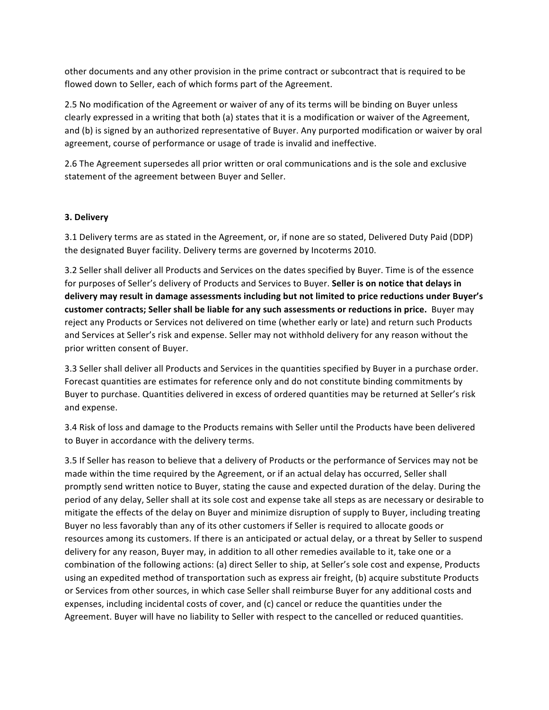other documents and any other provision in the prime contract or subcontract that is required to be flowed down to Seller, each of which forms part of the Agreement.

2.5 No modification of the Agreement or waiver of any of its terms will be binding on Buyer unless clearly expressed in a writing that both (a) states that it is a modification or waiver of the Agreement, and (b) is signed by an authorized representative of Buyer. Any purported modification or waiver by oral agreement, course of performance or usage of trade is invalid and ineffective.

2.6 The Agreement supersedes all prior written or oral communications and is the sole and exclusive statement of the agreement between Buyer and Seller.

#### **3. Delivery**

3.1 Delivery terms are as stated in the Agreement, or, if none are so stated, Delivered Duty Paid (DDP) the designated Buyer facility. Delivery terms are governed by Incoterms 2010.

3.2 Seller shall deliver all Products and Services on the dates specified by Buyer. Time is of the essence for purposes of Seller's delivery of Products and Services to Buyer. **Seller is on notice that delays in** delivery may result in damage assessments including but not limited to price reductions under Buyer's customer contracts; Seller shall be liable for any such assessments or reductions in price. Buyer may reject any Products or Services not delivered on time (whether early or late) and return such Products and Services at Seller's risk and expense. Seller may not withhold delivery for any reason without the prior written consent of Buyer.

3.3 Seller shall deliver all Products and Services in the quantities specified by Buyer in a purchase order. Forecast quantities are estimates for reference only and do not constitute binding commitments by Buyer to purchase. Quantities delivered in excess of ordered quantities may be returned at Seller's risk and expense.

3.4 Risk of loss and damage to the Products remains with Seller until the Products have been delivered to Buyer in accordance with the delivery terms.

3.5 If Seller has reason to believe that a delivery of Products or the performance of Services may not be made within the time required by the Agreement, or if an actual delay has occurred, Seller shall promptly send written notice to Buyer, stating the cause and expected duration of the delay. During the period of any delay, Seller shall at its sole cost and expense take all steps as are necessary or desirable to mitigate the effects of the delay on Buyer and minimize disruption of supply to Buyer, including treating Buyer no less favorably than any of its other customers if Seller is required to allocate goods or resources among its customers. If there is an anticipated or actual delay, or a threat by Seller to suspend delivery for any reason, Buyer may, in addition to all other remedies available to it, take one or a combination of the following actions: (a) direct Seller to ship, at Seller's sole cost and expense, Products using an expedited method of transportation such as express air freight, (b) acquire substitute Products or Services from other sources, in which case Seller shall reimburse Buyer for any additional costs and expenses, including incidental costs of cover, and (c) cancel or reduce the quantities under the Agreement. Buyer will have no liability to Seller with respect to the cancelled or reduced quantities.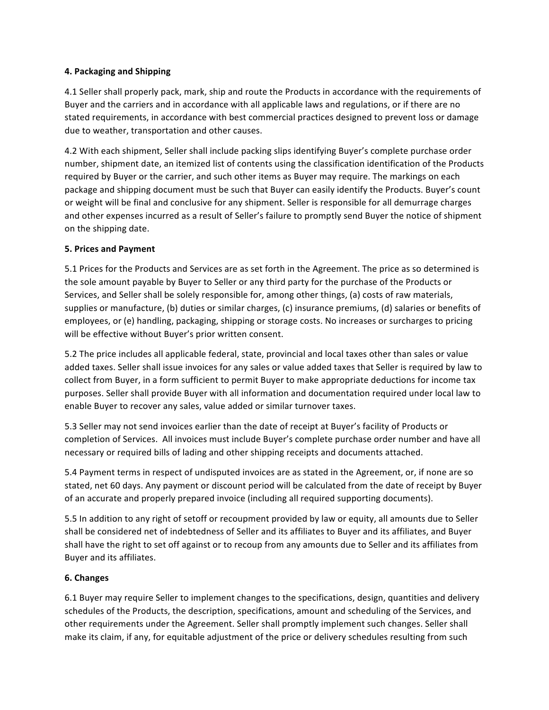# **4. Packaging and Shipping**

4.1 Seller shall properly pack, mark, ship and route the Products in accordance with the requirements of Buyer and the carriers and in accordance with all applicable laws and regulations, or if there are no stated requirements, in accordance with best commercial practices designed to prevent loss or damage due to weather, transportation and other causes.

4.2 With each shipment, Seller shall include packing slips identifying Buyer's complete purchase order number, shipment date, an itemized list of contents using the classification identification of the Products required by Buyer or the carrier, and such other items as Buyer may require. The markings on each package and shipping document must be such that Buyer can easily identify the Products. Buyer's count or weight will be final and conclusive for any shipment. Seller is responsible for all demurrage charges and other expenses incurred as a result of Seller's failure to promptly send Buyer the notice of shipment on the shipping date.

## **5. Prices and Payment**

5.1 Prices for the Products and Services are as set forth in the Agreement. The price as so determined is the sole amount payable by Buyer to Seller or any third party for the purchase of the Products or Services, and Seller shall be solely responsible for, among other things, (a) costs of raw materials, supplies or manufacture, (b) duties or similar charges, (c) insurance premiums, (d) salaries or benefits of employees, or (e) handling, packaging, shipping or storage costs. No increases or surcharges to pricing will be effective without Buyer's prior written consent.

5.2 The price includes all applicable federal, state, provincial and local taxes other than sales or value added taxes. Seller shall issue invoices for any sales or value added taxes that Seller is required by law to collect from Buyer, in a form sufficient to permit Buyer to make appropriate deductions for income tax purposes. Seller shall provide Buyer with all information and documentation required under local law to enable Buyer to recover any sales, value added or similar turnover taxes.

5.3 Seller may not send invoices earlier than the date of receipt at Buyer's facility of Products or completion of Services. All invoices must include Buyer's complete purchase order number and have all necessary or required bills of lading and other shipping receipts and documents attached.

5.4 Payment terms in respect of undisputed invoices are as stated in the Agreement, or, if none are so stated, net 60 days. Any payment or discount period will be calculated from the date of receipt by Buyer of an accurate and properly prepared invoice (including all required supporting documents).

5.5 In addition to any right of setoff or recoupment provided by law or equity, all amounts due to Seller shall be considered net of indebtedness of Seller and its affiliates to Buyer and its affiliates, and Buyer shall have the right to set off against or to recoup from any amounts due to Seller and its affiliates from Buyer and its affiliates.

### **6. Changes**

6.1 Buyer may require Seller to implement changes to the specifications, design, quantities and delivery schedules of the Products, the description, specifications, amount and scheduling of the Services, and other requirements under the Agreement. Seller shall promptly implement such changes. Seller shall make its claim, if any, for equitable adjustment of the price or delivery schedules resulting from such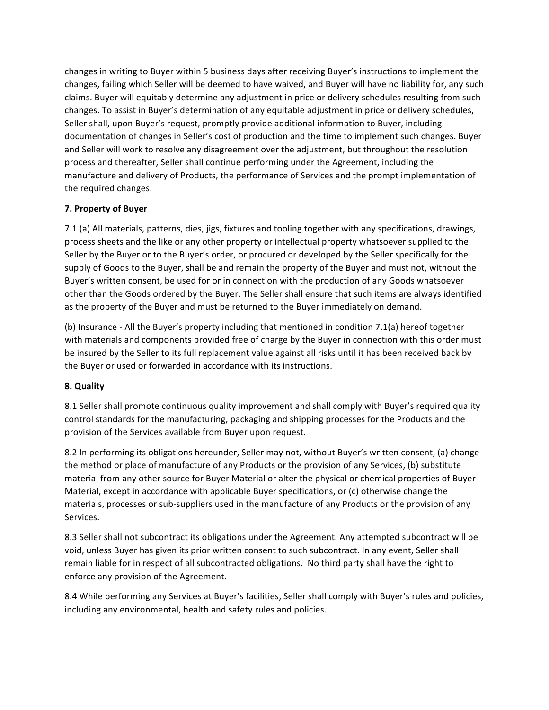changes in writing to Buyer within 5 business days after receiving Buyer's instructions to implement the changes, failing which Seller will be deemed to have waived, and Buyer will have no liability for, any such claims. Buyer will equitably determine any adjustment in price or delivery schedules resulting from such changes. To assist in Buyer's determination of any equitable adjustment in price or delivery schedules, Seller shall, upon Buyer's request, promptly provide additional information to Buyer, including documentation of changes in Seller's cost of production and the time to implement such changes. Buyer and Seller will work to resolve any disagreement over the adjustment, but throughout the resolution process and thereafter, Seller shall continue performing under the Agreement, including the manufacture and delivery of Products, the performance of Services and the prompt implementation of the required changes.

## **7. Property of Buyer**

7.1 (a) All materials, patterns, dies, jigs, fixtures and tooling together with any specifications, drawings, process sheets and the like or any other property or intellectual property whatsoever supplied to the Seller by the Buyer or to the Buyer's order, or procured or developed by the Seller specifically for the supply of Goods to the Buyer, shall be and remain the property of the Buyer and must not, without the Buyer's written consent, be used for or in connection with the production of any Goods whatsoever other than the Goods ordered by the Buyer. The Seller shall ensure that such items are always identified as the property of the Buyer and must be returned to the Buyer immediately on demand.

(b) Insurance - All the Buyer's property including that mentioned in condition 7.1(a) hereof together with materials and components provided free of charge by the Buyer in connection with this order must be insured by the Seller to its full replacement value against all risks until it has been received back by the Buyer or used or forwarded in accordance with its instructions.

### **8. Quality**

8.1 Seller shall promote continuous quality improvement and shall comply with Buyer's required quality control standards for the manufacturing, packaging and shipping processes for the Products and the provision of the Services available from Buyer upon request.

8.2 In performing its obligations hereunder, Seller may not, without Buyer's written consent, (a) change the method or place of manufacture of any Products or the provision of any Services, (b) substitute material from any other source for Buyer Material or alter the physical or chemical properties of Buyer Material, except in accordance with applicable Buyer specifications, or (c) otherwise change the materials, processes or sub-suppliers used in the manufacture of any Products or the provision of any Services.

8.3 Seller shall not subcontract its obligations under the Agreement. Any attempted subcontract will be void, unless Buyer has given its prior written consent to such subcontract. In any event, Seller shall remain liable for in respect of all subcontracted obligations. No third party shall have the right to enforce any provision of the Agreement.

8.4 While performing any Services at Buyer's facilities, Seller shall comply with Buyer's rules and policies, including any environmental, health and safety rules and policies.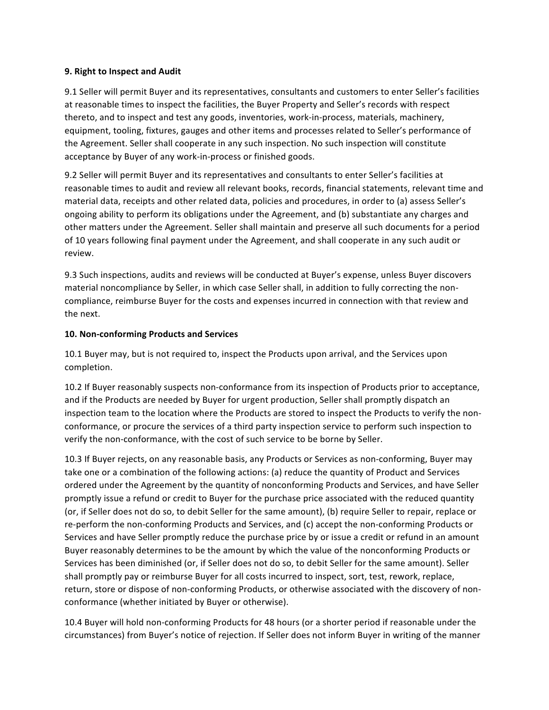#### **9. Right to Inspect and Audit**

9.1 Seller will permit Buyer and its representatives, consultants and customers to enter Seller's facilities at reasonable times to inspect the facilities, the Buyer Property and Seller's records with respect thereto, and to inspect and test any goods, inventories, work-in-process, materials, machinery, equipment, tooling, fixtures, gauges and other items and processes related to Seller's performance of the Agreement. Seller shall cooperate in any such inspection. No such inspection will constitute acceptance by Buyer of any work-in-process or finished goods.

9.2 Seller will permit Buyer and its representatives and consultants to enter Seller's facilities at reasonable times to audit and review all relevant books, records, financial statements, relevant time and material data, receipts and other related data, policies and procedures, in order to (a) assess Seller's ongoing ability to perform its obligations under the Agreement, and (b) substantiate any charges and other matters under the Agreement. Seller shall maintain and preserve all such documents for a period of 10 years following final payment under the Agreement, and shall cooperate in any such audit or review. 

9.3 Such inspections, audits and reviews will be conducted at Buyer's expense, unless Buyer discovers material noncompliance by Seller, in which case Seller shall, in addition to fully correcting the noncompliance, reimburse Buyer for the costs and expenses incurred in connection with that review and the next.

#### **10. Non-conforming Products and Services**

10.1 Buyer may, but is not required to, inspect the Products upon arrival, and the Services upon completion. 

10.2 If Buyer reasonably suspects non-conformance from its inspection of Products prior to acceptance, and if the Products are needed by Buyer for urgent production, Seller shall promptly dispatch an inspection team to the location where the Products are stored to inspect the Products to verify the nonconformance, or procure the services of a third party inspection service to perform such inspection to verify the non-conformance, with the cost of such service to be borne by Seller.

10.3 If Buyer rejects, on any reasonable basis, any Products or Services as non-conforming, Buyer may take one or a combination of the following actions: (a) reduce the quantity of Product and Services ordered under the Agreement by the quantity of nonconforming Products and Services, and have Seller promptly issue a refund or credit to Buyer for the purchase price associated with the reduced quantity (or, if Seller does not do so, to debit Seller for the same amount), (b) require Seller to repair, replace or re-perform the non-conforming Products and Services, and (c) accept the non-conforming Products or Services and have Seller promptly reduce the purchase price by or issue a credit or refund in an amount Buyer reasonably determines to be the amount by which the value of the nonconforming Products or Services has been diminished (or, if Seller does not do so, to debit Seller for the same amount). Seller shall promptly pay or reimburse Buyer for all costs incurred to inspect, sort, test, rework, replace, return, store or dispose of non-conforming Products, or otherwise associated with the discovery of nonconformance (whether initiated by Buyer or otherwise).

10.4 Buyer will hold non-conforming Products for 48 hours (or a shorter period if reasonable under the circumstances) from Buyer's notice of rejection. If Seller does not inform Buyer in writing of the manner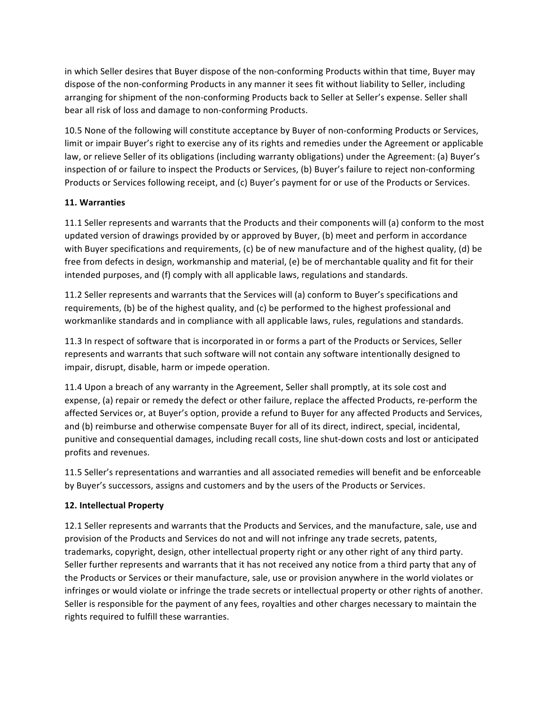in which Seller desires that Buyer dispose of the non-conforming Products within that time, Buyer may dispose of the non-conforming Products in any manner it sees fit without liability to Seller, including arranging for shipment of the non-conforming Products back to Seller at Seller's expense. Seller shall bear all risk of loss and damage to non-conforming Products.

10.5 None of the following will constitute acceptance by Buyer of non-conforming Products or Services, limit or impair Buyer's right to exercise any of its rights and remedies under the Agreement or applicable law, or relieve Seller of its obligations (including warranty obligations) under the Agreement: (a) Buyer's inspection of or failure to inspect the Products or Services, (b) Buyer's failure to reject non-conforming Products or Services following receipt, and (c) Buyer's payment for or use of the Products or Services.

# **11. Warranties**

11.1 Seller represents and warrants that the Products and their components will (a) conform to the most updated version of drawings provided by or approved by Buyer, (b) meet and perform in accordance with Buyer specifications and requirements, (c) be of new manufacture and of the highest quality, (d) be free from defects in design, workmanship and material, (e) be of merchantable quality and fit for their intended purposes, and (f) comply with all applicable laws, regulations and standards.

11.2 Seller represents and warrants that the Services will (a) conform to Buyer's specifications and requirements, (b) be of the highest quality, and (c) be performed to the highest professional and workmanlike standards and in compliance with all applicable laws, rules, regulations and standards.

11.3 In respect of software that is incorporated in or forms a part of the Products or Services, Seller represents and warrants that such software will not contain any software intentionally designed to impair, disrupt, disable, harm or impede operation.

11.4 Upon a breach of any warranty in the Agreement, Seller shall promptly, at its sole cost and expense, (a) repair or remedy the defect or other failure, replace the affected Products, re-perform the affected Services or, at Buyer's option, provide a refund to Buyer for any affected Products and Services, and (b) reimburse and otherwise compensate Buyer for all of its direct, indirect, special, incidental, punitive and consequential damages, including recall costs, line shut-down costs and lost or anticipated profits and revenues.

11.5 Seller's representations and warranties and all associated remedies will benefit and be enforceable by Buyer's successors, assigns and customers and by the users of the Products or Services.

### **12. Intellectual Property**

12.1 Seller represents and warrants that the Products and Services, and the manufacture, sale, use and provision of the Products and Services do not and will not infringe any trade secrets, patents, trademarks, copyright, design, other intellectual property right or any other right of any third party. Seller further represents and warrants that it has not received any notice from a third party that any of the Products or Services or their manufacture, sale, use or provision anywhere in the world violates or infringes or would violate or infringe the trade secrets or intellectual property or other rights of another. Seller is responsible for the payment of any fees, royalties and other charges necessary to maintain the rights required to fulfill these warranties.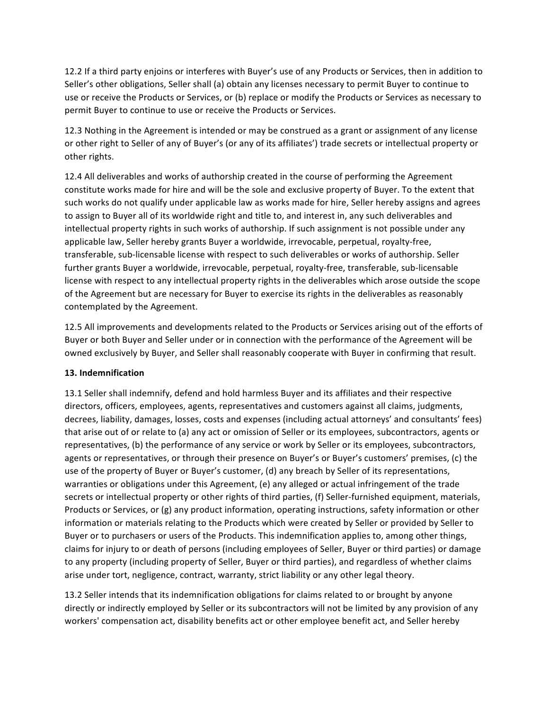12.2 If a third party enjoins or interferes with Buyer's use of any Products or Services, then in addition to Seller's other obligations, Seller shall (a) obtain any licenses necessary to permit Buyer to continue to use or receive the Products or Services, or (b) replace or modify the Products or Services as necessary to permit Buyer to continue to use or receive the Products or Services.

12.3 Nothing in the Agreement is intended or may be construed as a grant or assignment of any license or other right to Seller of any of Buyer's (or any of its affiliates') trade secrets or intellectual property or other rights.

12.4 All deliverables and works of authorship created in the course of performing the Agreement constitute works made for hire and will be the sole and exclusive property of Buyer. To the extent that such works do not qualify under applicable law as works made for hire, Seller hereby assigns and agrees to assign to Buyer all of its worldwide right and title to, and interest in, any such deliverables and intellectual property rights in such works of authorship. If such assignment is not possible under any applicable law, Seller hereby grants Buyer a worldwide, irrevocable, perpetual, royalty-free, transferable, sub-licensable license with respect to such deliverables or works of authorship. Seller further grants Buyer a worldwide, irrevocable, perpetual, royalty-free, transferable, sub-licensable license with respect to any intellectual property rights in the deliverables which arose outside the scope of the Agreement but are necessary for Buyer to exercise its rights in the deliverables as reasonably contemplated by the Agreement.

12.5 All improvements and developments related to the Products or Services arising out of the efforts of Buyer or both Buyer and Seller under or in connection with the performance of the Agreement will be owned exclusively by Buyer, and Seller shall reasonably cooperate with Buyer in confirming that result.

### **13. Indemnification**

13.1 Seller shall indemnify, defend and hold harmless Buyer and its affiliates and their respective directors, officers, employees, agents, representatives and customers against all claims, judgments, decrees, liability, damages, losses, costs and expenses (including actual attorneys' and consultants' fees) that arise out of or relate to (a) any act or omission of Seller or its employees, subcontractors, agents or representatives, (b) the performance of any service or work by Seller or its employees, subcontractors, agents or representatives, or through their presence on Buyer's or Buyer's customers' premises, (c) the use of the property of Buyer or Buyer's customer, (d) any breach by Seller of its representations, warranties or obligations under this Agreement, (e) any alleged or actual infringement of the trade secrets or intellectual property or other rights of third parties, (f) Seller-furnished equipment, materials, Products or Services, or  $(g)$  any product information, operating instructions, safety information or other information or materials relating to the Products which were created by Seller or provided by Seller to Buyer or to purchasers or users of the Products. This indemnification applies to, among other things, claims for injury to or death of persons (including employees of Seller, Buyer or third parties) or damage to any property (including property of Seller, Buyer or third parties), and regardless of whether claims arise under tort, negligence, contract, warranty, strict liability or any other legal theory.

13.2 Seller intends that its indemnification obligations for claims related to or brought by anyone directly or indirectly employed by Seller or its subcontractors will not be limited by any provision of any workers' compensation act, disability benefits act or other employee benefit act, and Seller hereby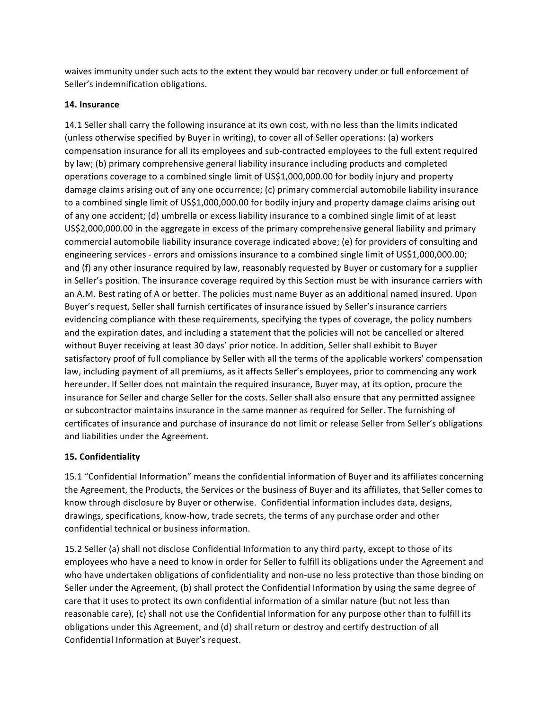waives immunity under such acts to the extent they would bar recovery under or full enforcement of Seller's indemnification obligations.

### 14. Insurance

14.1 Seller shall carry the following insurance at its own cost, with no less than the limits indicated (unless otherwise specified by Buyer in writing), to cover all of Seller operations: (a) workers compensation insurance for all its employees and sub-contracted employees to the full extent required by law; (b) primary comprehensive general liability insurance including products and completed operations coverage to a combined single limit of US\$1,000,000.00 for bodily injury and property damage claims arising out of any one occurrence; (c) primary commercial automobile liability insurance to a combined single limit of US\$1,000,000.00 for bodily injury and property damage claims arising out of any one accident; (d) umbrella or excess liability insurance to a combined single limit of at least US\$2,000,000.00 in the aggregate in excess of the primary comprehensive general liability and primary commercial automobile liability insurance coverage indicated above; (e) for providers of consulting and engineering services - errors and omissions insurance to a combined single limit of US\$1,000,000.00; and (f) any other insurance required by law, reasonably requested by Buyer or customary for a supplier in Seller's position. The insurance coverage required by this Section must be with insurance carriers with an A.M. Best rating of A or better. The policies must name Buyer as an additional named insured. Upon Buyer's request, Seller shall furnish certificates of insurance issued by Seller's insurance carriers evidencing compliance with these requirements, specifying the types of coverage, the policy numbers and the expiration dates, and including a statement that the policies will not be cancelled or altered without Buyer receiving at least 30 days' prior notice. In addition, Seller shall exhibit to Buyer satisfactory proof of full compliance by Seller with all the terms of the applicable workers' compensation law, including payment of all premiums, as it affects Seller's employees, prior to commencing any work hereunder. If Seller does not maintain the required insurance, Buyer may, at its option, procure the insurance for Seller and charge Seller for the costs. Seller shall also ensure that any permitted assignee or subcontractor maintains insurance in the same manner as required for Seller. The furnishing of certificates of insurance and purchase of insurance do not limit or release Seller from Seller's obligations and liabilities under the Agreement.

# **15. Confidentiality**

15.1 "Confidential Information" means the confidential information of Buyer and its affiliates concerning the Agreement, the Products, the Services or the business of Buyer and its affiliates, that Seller comes to know through disclosure by Buyer or otherwise. Confidential information includes data, designs, drawings, specifications, know-how, trade secrets, the terms of any purchase order and other confidential technical or business information.

15.2 Seller (a) shall not disclose Confidential Information to any third party, except to those of its employees who have a need to know in order for Seller to fulfill its obligations under the Agreement and who have undertaken obligations of confidentiality and non-use no less protective than those binding on Seller under the Agreement, (b) shall protect the Confidential Information by using the same degree of care that it uses to protect its own confidential information of a similar nature (but not less than reasonable care), (c) shall not use the Confidential Information for any purpose other than to fulfill its obligations under this Agreement, and (d) shall return or destroy and certify destruction of all Confidential Information at Buyer's request.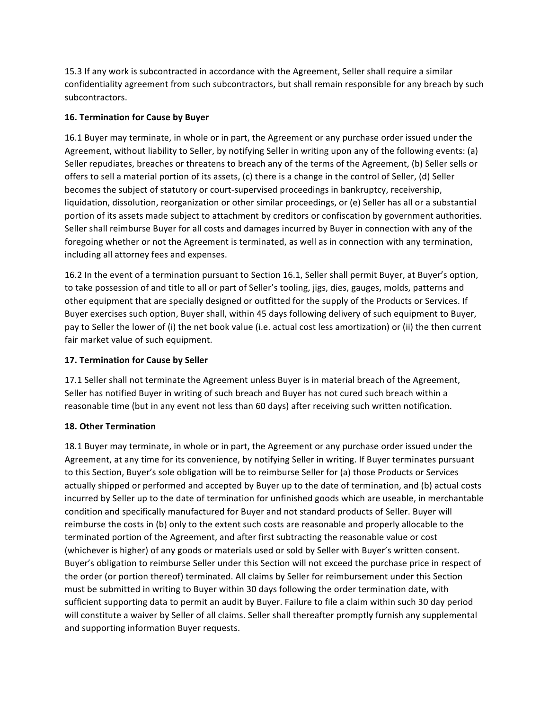15.3 If any work is subcontracted in accordance with the Agreement, Seller shall require a similar confidentiality agreement from such subcontractors, but shall remain responsible for any breach by such subcontractors. 

## **16. Termination for Cause by Buyer**

16.1 Buyer may terminate, in whole or in part, the Agreement or any purchase order issued under the Agreement, without liability to Seller, by notifying Seller in writing upon any of the following events: (a) Seller repudiates, breaches or threatens to breach any of the terms of the Agreement, (b) Seller sells or offers to sell a material portion of its assets, (c) there is a change in the control of Seller, (d) Seller becomes the subject of statutory or court-supervised proceedings in bankruptcy, receivership, liquidation, dissolution, reorganization or other similar proceedings, or (e) Seller has all or a substantial portion of its assets made subject to attachment by creditors or confiscation by government authorities. Seller shall reimburse Buyer for all costs and damages incurred by Buyer in connection with any of the foregoing whether or not the Agreement is terminated, as well as in connection with any termination, including all attorney fees and expenses.

16.2 In the event of a termination pursuant to Section 16.1, Seller shall permit Buyer, at Buyer's option, to take possession of and title to all or part of Seller's tooling, jigs, dies, gauges, molds, patterns and other equipment that are specially designed or outfitted for the supply of the Products or Services. If Buyer exercises such option, Buyer shall, within 45 days following delivery of such equipment to Buyer, pay to Seller the lower of (i) the net book value (i.e. actual cost less amortization) or (ii) the then current fair market value of such equipment.

# **17. Termination for Cause by Seller**

17.1 Seller shall not terminate the Agreement unless Buyer is in material breach of the Agreement, Seller has notified Buyer in writing of such breach and Buyer has not cured such breach within a reasonable time (but in any event not less than 60 days) after receiving such written notification.

# **18. Other Termination**

18.1 Buyer may terminate, in whole or in part, the Agreement or any purchase order issued under the Agreement, at any time for its convenience, by notifying Seller in writing. If Buyer terminates pursuant to this Section, Buyer's sole obligation will be to reimburse Seller for (a) those Products or Services actually shipped or performed and accepted by Buyer up to the date of termination, and (b) actual costs incurred by Seller up to the date of termination for unfinished goods which are useable, in merchantable condition and specifically manufactured for Buyer and not standard products of Seller. Buyer will reimburse the costs in (b) only to the extent such costs are reasonable and properly allocable to the terminated portion of the Agreement, and after first subtracting the reasonable value or cost (whichever is higher) of any goods or materials used or sold by Seller with Buyer's written consent. Buyer's obligation to reimburse Seller under this Section will not exceed the purchase price in respect of the order (or portion thereof) terminated. All claims by Seller for reimbursement under this Section must be submitted in writing to Buyer within 30 days following the order termination date, with sufficient supporting data to permit an audit by Buyer. Failure to file a claim within such 30 day period will constitute a waiver by Seller of all claims. Seller shall thereafter promptly furnish any supplemental and supporting information Buyer requests.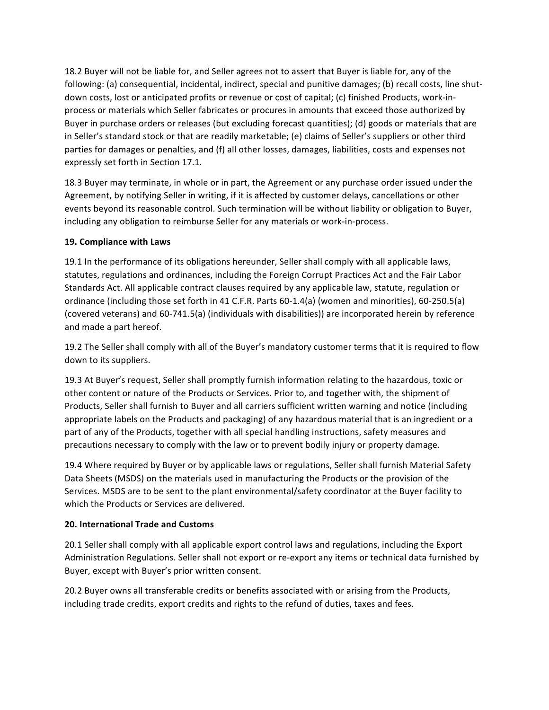18.2 Buyer will not be liable for, and Seller agrees not to assert that Buyer is liable for, any of the following: (a) consequential, incidental, indirect, special and punitive damages; (b) recall costs, line shutdown costs, lost or anticipated profits or revenue or cost of capital; (c) finished Products, work-inprocess or materials which Seller fabricates or procures in amounts that exceed those authorized by Buyer in purchase orders or releases (but excluding forecast quantities); (d) goods or materials that are in Seller's standard stock or that are readily marketable; (e) claims of Seller's suppliers or other third parties for damages or penalties, and (f) all other losses, damages, liabilities, costs and expenses not expressly set forth in Section 17.1.

18.3 Buyer may terminate, in whole or in part, the Agreement or any purchase order issued under the Agreement, by notifying Seller in writing, if it is affected by customer delays, cancellations or other events beyond its reasonable control. Such termination will be without liability or obligation to Buyer, including any obligation to reimburse Seller for any materials or work-in-process.

### **19. Compliance with Laws**

19.1 In the performance of its obligations hereunder, Seller shall comply with all applicable laws, statutes, regulations and ordinances, including the Foreign Corrupt Practices Act and the Fair Labor Standards Act. All applicable contract clauses required by any applicable law, statute, regulation or ordinance (including those set forth in 41 C.F.R. Parts 60-1.4(a) (women and minorities), 60-250.5(a) (covered veterans) and 60-741.5(a) (individuals with disabilities)) are incorporated herein by reference and made a part hereof.

19.2 The Seller shall comply with all of the Buyer's mandatory customer terms that it is required to flow down to its suppliers.

19.3 At Buyer's request, Seller shall promptly furnish information relating to the hazardous, toxic or other content or nature of the Products or Services. Prior to, and together with, the shipment of Products, Seller shall furnish to Buyer and all carriers sufficient written warning and notice (including appropriate labels on the Products and packaging) of any hazardous material that is an ingredient or a part of any of the Products, together with all special handling instructions, safety measures and precautions necessary to comply with the law or to prevent bodily injury or property damage.

19.4 Where required by Buyer or by applicable laws or regulations, Seller shall furnish Material Safety Data Sheets (MSDS) on the materials used in manufacturing the Products or the provision of the Services. MSDS are to be sent to the plant environmental/safety coordinator at the Buyer facility to which the Products or Services are delivered.

# **20. International Trade and Customs**

20.1 Seller shall comply with all applicable export control laws and regulations, including the Export Administration Regulations. Seller shall not export or re-export any items or technical data furnished by Buyer, except with Buyer's prior written consent.

20.2 Buyer owns all transferable credits or benefits associated with or arising from the Products, including trade credits, export credits and rights to the refund of duties, taxes and fees.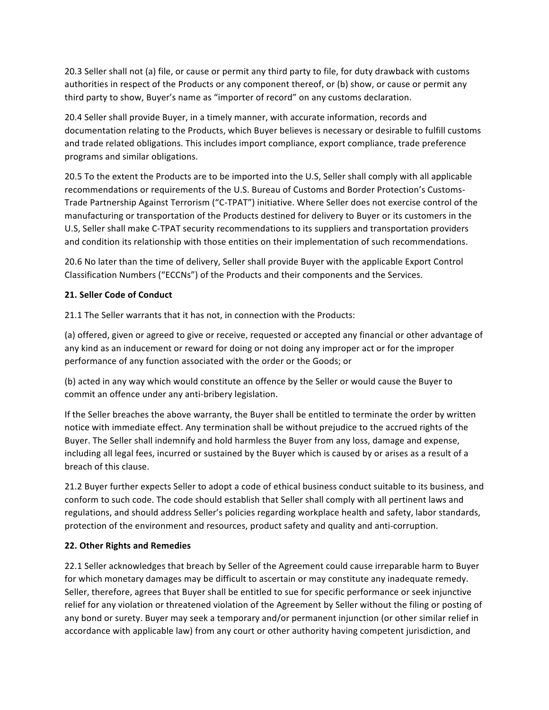20.3 Seller shall not (a) file, or cause or permit any third party to file, for duty drawback with customs authorities in respect of the Products or any component thereof, or (b) show, or cause or permit any third party to show, Buyer's name as "importer of record" on any customs declaration.

20.4 Seller shall provide Buyer, in a timely manner, with accurate information, records and documentation relating to the Products, which Buyer believes is necessary or desirable to fulfill customs and trade related obligations. This includes import compliance, export compliance, trade preference programs and similar obligations.

20.5 To the extent the Products are to be imported into the U.S, Seller shall comply with all applicable recommendations or requirements of the U.S. Bureau of Customs and Border Protection's Customs-Trade Partnership Against Terrorism ("C-TPAT") initiative. Where Seller does not exercise control of the manufacturing or transportation of the Products destined for delivery to Buyer or its customers in the U.S, Seller shall make C-TPAT security recommendations to its suppliers and transportation providers and condition its relationship with those entities on their implementation of such recommendations.

20.6 No later than the time of delivery, Seller shall provide Buyer with the applicable Export Control Classification Numbers ("ECCNs") of the Products and their components and the Services.

## **21. Seller Code of Conduct**

21.1 The Seller warrants that it has not, in connection with the Products:

(a) offered, given or agreed to give or receive, requested or accepted any financial or other advantage of any kind as an inducement or reward for doing or not doing any improper act or for the improper performance of any function associated with the order or the Goods; or

(b) acted in any way which would constitute an offence by the Seller or would cause the Buyer to commit an offence under any anti-bribery legislation.

If the Seller breaches the above warranty, the Buyer shall be entitled to terminate the order by written notice with immediate effect. Any termination shall be without prejudice to the accrued rights of the Buyer. The Seller shall indemnify and hold harmless the Buyer from any loss, damage and expense, including all legal fees, incurred or sustained by the Buyer which is caused by or arises as a result of a breach of this clause.

21.2 Buyer further expects Seller to adopt a code of ethical business conduct suitable to its business, and conform to such code. The code should establish that Seller shall comply with all pertinent laws and regulations, and should address Seller's policies regarding workplace health and safety, labor standards, protection of the environment and resources, product safety and quality and anti-corruption.

### **22. Other Rights and Remedies**

22.1 Seller acknowledges that breach by Seller of the Agreement could cause irreparable harm to Buyer for which monetary damages may be difficult to ascertain or may constitute any inadequate remedy. Seller, therefore, agrees that Buyer shall be entitled to sue for specific performance or seek injunctive relief for any violation or threatened violation of the Agreement by Seller without the filing or posting of any bond or surety. Buyer may seek a temporary and/or permanent injunction (or other similar relief in accordance with applicable law) from any court or other authority having competent jurisdiction, and